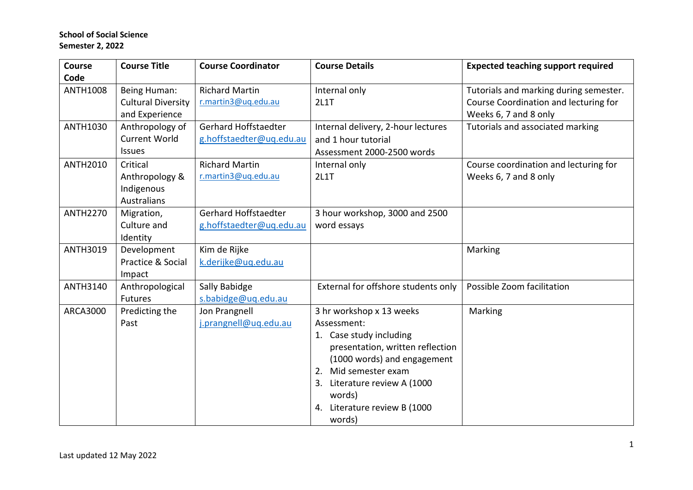| Course          | <b>Course Title</b>       | <b>Course Coordinator</b> | <b>Course Details</b>               | <b>Expected teaching support required</b> |
|-----------------|---------------------------|---------------------------|-------------------------------------|-------------------------------------------|
| Code            |                           |                           |                                     |                                           |
| <b>ANTH1008</b> | Being Human:              | <b>Richard Martin</b>     | Internal only                       | Tutorials and marking during semester.    |
|                 | <b>Cultural Diversity</b> | r.martin3@uq.edu.au       | <b>2L1T</b>                         | Course Coordination and lecturing for     |
|                 | and Experience            |                           |                                     | Weeks 6, 7 and 8 only                     |
| ANTH1030        | Anthropology of           | Gerhard Hoffstaedter      | Internal delivery, 2-hour lectures  | Tutorials and associated marking          |
|                 | <b>Current World</b>      | g.hoffstaedter@uq.edu.au  | and 1 hour tutorial                 |                                           |
|                 | <b>Issues</b>             |                           | Assessment 2000-2500 words          |                                           |
| <b>ANTH2010</b> | Critical                  | <b>Richard Martin</b>     | Internal only                       | Course coordination and lecturing for     |
|                 | Anthropology &            | r.martin3@uq.edu.au       | <b>2L1T</b>                         | Weeks 6, 7 and 8 only                     |
|                 | Indigenous                |                           |                                     |                                           |
|                 | <b>Australians</b>        |                           |                                     |                                           |
| <b>ANTH2270</b> | Migration,                | Gerhard Hoffstaedter      | 3 hour workshop, 3000 and 2500      |                                           |
|                 | Culture and               | g.hoffstaedter@uq.edu.au  | word essays                         |                                           |
|                 | Identity                  |                           |                                     |                                           |
| ANTH3019        | Development               | Kim de Rijke              |                                     | Marking                                   |
|                 | Practice & Social         | k.derijke@uq.edu.au       |                                     |                                           |
|                 | Impact                    |                           |                                     |                                           |
| ANTH3140        | Anthropological           | Sally Babidge             | External for offshore students only | Possible Zoom facilitation                |
|                 | Futures                   | s.babidge@uq.edu.au       |                                     |                                           |
| <b>ARCA3000</b> | Predicting the            | Jon Prangnell             | 3 hr workshop x 13 weeks            | Marking                                   |
|                 | Past                      | j.prangnell@uq.edu.au     | Assessment:                         |                                           |
|                 |                           |                           | 1. Case study including             |                                           |
|                 |                           |                           | presentation, written reflection    |                                           |
|                 |                           |                           | (1000 words) and engagement         |                                           |
|                 |                           |                           | 2. Mid semester exam                |                                           |
|                 |                           |                           | 3. Literature review A (1000        |                                           |
|                 |                           |                           | words)                              |                                           |
|                 |                           |                           | 4. Literature review B (1000        |                                           |
|                 |                           |                           | words)                              |                                           |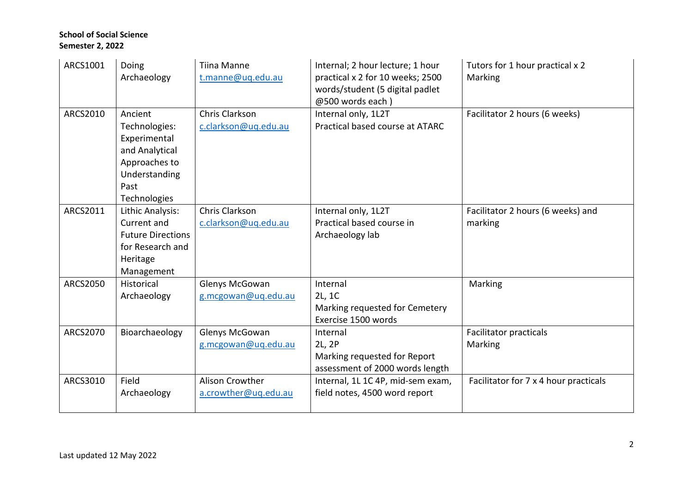| ARCS1001        | Doing<br>Archaeology                                                                                                 | <b>Tiina Manne</b><br>t.manne@uq.edu.au | Internal; 2 hour lecture; 1 hour<br>practical x 2 for 10 weeks; 2500<br>words/student (5 digital padlet<br>@500 words each) | Tutors for 1 hour practical x 2<br>Marking   |
|-----------------|----------------------------------------------------------------------------------------------------------------------|-----------------------------------------|-----------------------------------------------------------------------------------------------------------------------------|----------------------------------------------|
| ARCS2010        | Ancient<br>Technologies:<br>Experimental<br>and Analytical<br>Approaches to<br>Understanding<br>Past<br>Technologies | Chris Clarkson<br>c.clarkson@uq.edu.au  | Internal only, 1L2T<br>Practical based course at ATARC                                                                      | Facilitator 2 hours (6 weeks)                |
| ARCS2011        | Lithic Analysis:<br>Current and<br><b>Future Directions</b><br>for Research and<br>Heritage<br>Management            | Chris Clarkson<br>c.clarkson@uq.edu.au  | Internal only, 1L2T<br>Practical based course in<br>Archaeology lab                                                         | Facilitator 2 hours (6 weeks) and<br>marking |
| <b>ARCS2050</b> | Historical<br>Archaeology                                                                                            | Glenys McGowan<br>g.mcgowan@uq.edu.au   | Internal<br>2L, 1C<br>Marking requested for Cemetery<br>Exercise 1500 words                                                 | Marking                                      |
| ARCS2070        | Bioarchaeology                                                                                                       | Glenys McGowan<br>g.mcgowan@uq.edu.au   | Internal<br>2L, 2P<br>Marking requested for Report<br>assessment of 2000 words length                                       | <b>Facilitator practicals</b><br>Marking     |
| ARCS3010        | Field<br>Archaeology                                                                                                 | Alison Crowther<br>a.crowther@uq.edu.au | Internal, 1L 1C 4P, mid-sem exam,<br>field notes, 4500 word report                                                          | Facilitator for 7 x 4 hour practicals        |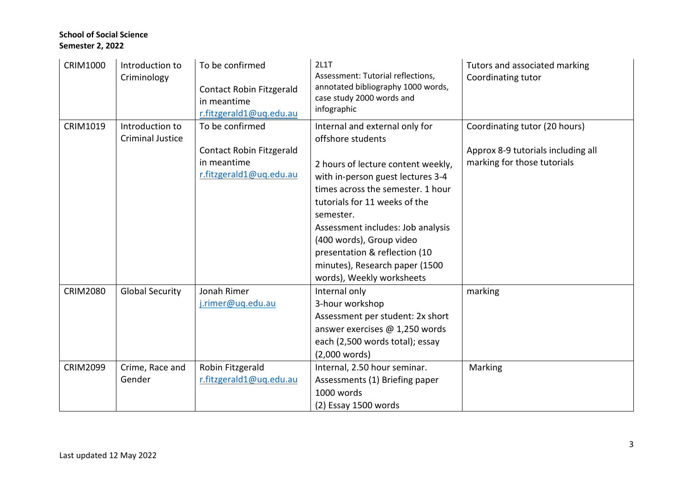| <b>CRIM1000</b> | Introduction to<br>Criminology | To be confirmed<br>Contact Robin Fitzgerald<br>in meantime<br>r.fitzgerald1@uq.edu.au | 2L1T<br>Assessment: Tutorial reflections,<br>annotated bibliography 1000 words,<br>case study 2000 words and<br>infographic | Tutors and associated marking<br>Coordinating tutor |
|-----------------|--------------------------------|---------------------------------------------------------------------------------------|-----------------------------------------------------------------------------------------------------------------------------|-----------------------------------------------------|
| <b>CRIM1019</b> | Introduction to                | To be confirmed                                                                       | Internal and external only for                                                                                              | Coordinating tutor (20 hours)                       |
|                 | <b>Criminal Justice</b>        |                                                                                       | offshore students                                                                                                           |                                                     |
|                 |                                | Contact Robin Fitzgerald                                                              |                                                                                                                             | Approx 8-9 tutorials including all                  |
|                 |                                | in meantime                                                                           | 2 hours of lecture content weekly,                                                                                          | marking for those tutorials                         |
|                 |                                | r.fitzgerald1@uq.edu.au                                                               | with in-person guest lectures 3-4                                                                                           |                                                     |
|                 |                                |                                                                                       | times across the semester. 1 hour                                                                                           |                                                     |
|                 |                                |                                                                                       | tutorials for 11 weeks of the                                                                                               |                                                     |
|                 |                                |                                                                                       | semester.                                                                                                                   |                                                     |
|                 |                                |                                                                                       | Assessment includes: Job analysis                                                                                           |                                                     |
|                 |                                |                                                                                       | (400 words), Group video                                                                                                    |                                                     |
|                 |                                |                                                                                       | presentation & reflection (10                                                                                               |                                                     |
|                 |                                |                                                                                       | minutes), Research paper (1500                                                                                              |                                                     |
|                 |                                |                                                                                       | words), Weekly worksheets                                                                                                   |                                                     |
| <b>CRIM2080</b> | <b>Global Security</b>         | Jonah Rimer                                                                           | Internal only                                                                                                               | marking                                             |
|                 |                                | j.rimer@uq.edu.au                                                                     | 3-hour workshop                                                                                                             |                                                     |
|                 |                                |                                                                                       | Assessment per student: 2x short                                                                                            |                                                     |
|                 |                                |                                                                                       | answer exercises @ 1,250 words                                                                                              |                                                     |
|                 |                                |                                                                                       | each (2,500 words total); essay                                                                                             |                                                     |
|                 |                                |                                                                                       | (2,000 words)                                                                                                               |                                                     |
| <b>CRIM2099</b> | Crime, Race and                | Robin Fitzgerald                                                                      | Internal, 2.50 hour seminar.                                                                                                | Marking                                             |
|                 | Gender                         | r.fitzgerald1@uq.edu.au                                                               | Assessments (1) Briefing paper                                                                                              |                                                     |
|                 |                                |                                                                                       | 1000 words                                                                                                                  |                                                     |
|                 |                                |                                                                                       | $(2)$ Essay 1500 words                                                                                                      |                                                     |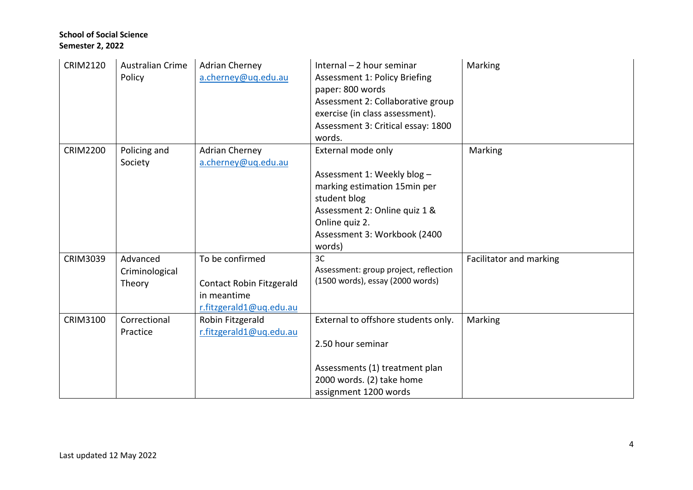| <b>CRIM2120</b> | <b>Australian Crime</b><br>Policy    | <b>Adrian Cherney</b><br>a.cherney@uq.edu.au                                                 | Internal $-2$ hour seminar<br><b>Assessment 1: Policy Briefing</b><br>paper: 800 words<br>Assessment 2: Collaborative group<br>exercise (in class assessment).<br>Assessment 3: Critical essay: 1800<br>words. | <b>Marking</b>          |
|-----------------|--------------------------------------|----------------------------------------------------------------------------------------------|----------------------------------------------------------------------------------------------------------------------------------------------------------------------------------------------------------------|-------------------------|
| <b>CRIM2200</b> | Policing and<br>Society              | <b>Adrian Cherney</b><br>a.cherney@uq.edu.au                                                 | External mode only<br>Assessment 1: Weekly blog -<br>marking estimation 15min per<br>student blog<br>Assessment 2: Online quiz 1 &<br>Online quiz 2.<br>Assessment 3: Workbook (2400<br>words)                 | Marking                 |
| <b>CRIM3039</b> | Advanced<br>Criminological<br>Theory | To be confirmed<br><b>Contact Robin Fitzgerald</b><br>in meantime<br>r.fitzgerald1@uq.edu.au | 3C<br>Assessment: group project, reflection<br>(1500 words), essay (2000 words)                                                                                                                                | Facilitator and marking |
| CRIM3100        | Correctional<br>Practice             | Robin Fitzgerald<br>r.fitzgerald1@uq.edu.au                                                  | External to offshore students only.<br>2.50 hour seminar<br>Assessments (1) treatment plan<br>2000 words. (2) take home<br>assignment 1200 words                                                               | Marking                 |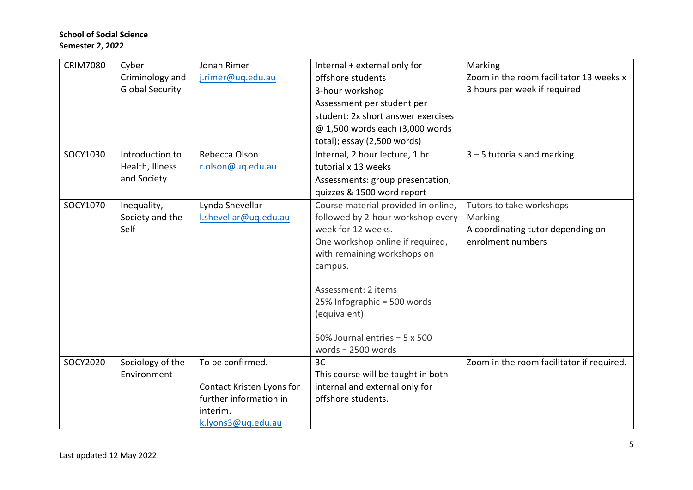| <b>CRIM7080</b> | Cyber<br>Criminology and<br><b>Global Security</b> | Jonah Rimer<br>j.rimer@uq.edu.au                                                                          | Internal + external only for<br>offshore students<br>3-hour workshop<br>Assessment per student per                                                                                                                                                                                                                 | Marking<br>Zoom in the room facilitator 13 weeks x<br>3 hours per week if required            |
|-----------------|----------------------------------------------------|-----------------------------------------------------------------------------------------------------------|--------------------------------------------------------------------------------------------------------------------------------------------------------------------------------------------------------------------------------------------------------------------------------------------------------------------|-----------------------------------------------------------------------------------------------|
|                 |                                                    |                                                                                                           | student: 2x short answer exercises<br>@ 1,500 words each (3,000 words<br>total); essay (2,500 words)                                                                                                                                                                                                               |                                                                                               |
| SOCY1030        | Introduction to<br>Health, Illness<br>and Society  | Rebecca Olson<br>r.olson@uq.edu.au                                                                        | Internal, 2 hour lecture, 1 hr<br>tutorial x 13 weeks<br>Assessments: group presentation,<br>quizzes & 1500 word report                                                                                                                                                                                            | $3 - 5$ tutorials and marking                                                                 |
| SOCY1070        | Inequality,<br>Society and the<br>Self             | Lynda Shevellar<br>I.shevellar@uq.edu.au                                                                  | Course material provided in online,<br>followed by 2-hour workshop every<br>week for 12 weeks.<br>One workshop online if required,<br>with remaining workshops on<br>campus.<br>Assessment: 2 items<br>25% Infographic = 500 words<br>(equivalent)<br>50% Journal entries = $5 \times 500$<br>words = $2500$ words | Tutors to take workshops<br>Marking<br>A coordinating tutor depending on<br>enrolment numbers |
| SOCY2020        | Sociology of the<br>Environment                    | To be confirmed.<br>Contact Kristen Lyons for<br>further information in<br>interim.<br>k.lyons3@uq.edu.au | 3C<br>This course will be taught in both<br>internal and external only for<br>offshore students.                                                                                                                                                                                                                   | Zoom in the room facilitator if required.                                                     |